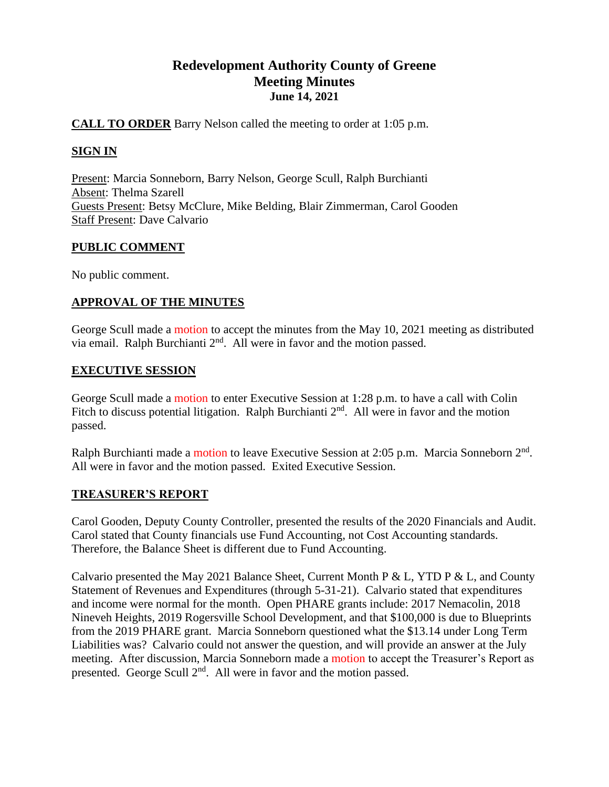# **Redevelopment Authority County of Greene Meeting Minutes June 14, 2021**

# **CALL TO ORDER** Barry Nelson called the meeting to order at 1:05 p.m.

# **SIGN IN**

Present: Marcia Sonneborn, Barry Nelson, George Scull, Ralph Burchianti Absent: Thelma Szarell Guests Present: Betsy McClure, Mike Belding, Blair Zimmerman, Carol Gooden Staff Present: Dave Calvario

# **PUBLIC COMMENT**

No public comment.

# **APPROVAL OF THE MINUTES**

George Scull made a motion to accept the minutes from the May 10, 2021 meeting as distributed via email. Ralph Burchianti  $2<sup>nd</sup>$ . All were in favor and the motion passed.

# **EXECUTIVE SESSION**

George Scull made a motion to enter Executive Session at 1:28 p.m. to have a call with Colin Fitch to discuss potential litigation. Ralph Burchianti  $2<sup>nd</sup>$ . All were in favor and the motion passed.

Ralph Burchianti made a motion to leave Executive Session at 2:05 p.m. Marcia Sonneborn 2<sup>nd</sup>. All were in favor and the motion passed. Exited Executive Session.

# **TREASURER'S REPORT**

Carol Gooden, Deputy County Controller, presented the results of the 2020 Financials and Audit. Carol stated that County financials use Fund Accounting, not Cost Accounting standards. Therefore, the Balance Sheet is different due to Fund Accounting.

Calvario presented the May 2021 Balance Sheet, Current Month P & L, YTD P & L, and County Statement of Revenues and Expenditures (through 5-31-21). Calvario stated that expenditures and income were normal for the month. Open PHARE grants include: 2017 Nemacolin, 2018 Nineveh Heights, 2019 Rogersville School Development, and that \$100,000 is due to Blueprints from the 2019 PHARE grant. Marcia Sonneborn questioned what the \$13.14 under Long Term Liabilities was? Calvario could not answer the question, and will provide an answer at the July meeting. After discussion, Marcia Sonneborn made a motion to accept the Treasurer's Report as presented. George Scull  $2<sup>nd</sup>$ . All were in favor and the motion passed.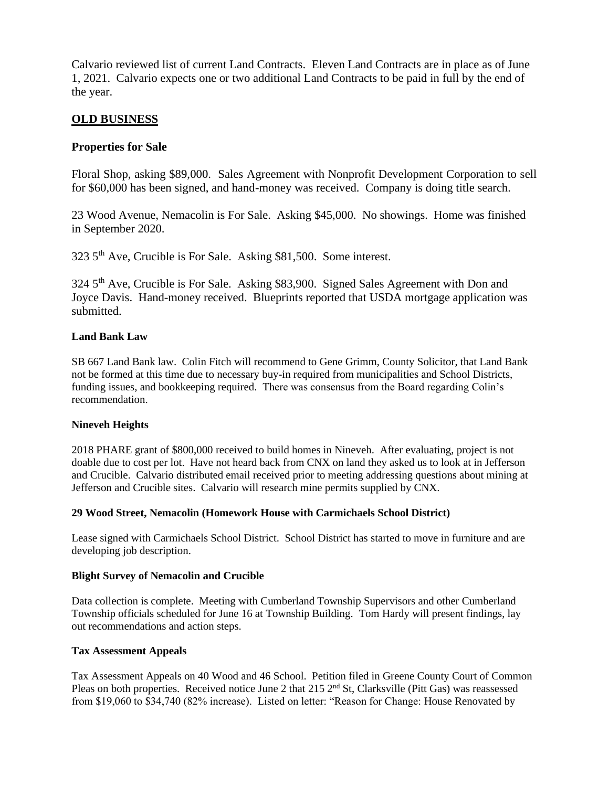Calvario reviewed list of current Land Contracts. Eleven Land Contracts are in place as of June 1, 2021. Calvario expects one or two additional Land Contracts to be paid in full by the end of the year.

# **OLD BUSINESS**

# **Properties for Sale**

Floral Shop, asking \$89,000. Sales Agreement with Nonprofit Development Corporation to sell for \$60,000 has been signed, and hand-money was received. Company is doing title search.

23 Wood Avenue, Nemacolin is For Sale. Asking \$45,000. No showings. Home was finished in September 2020.

323 5th Ave, Crucible is For Sale. Asking \$81,500. Some interest.

324 5<sup>th</sup> Ave, Crucible is For Sale. Asking \$83,900. Signed Sales Agreement with Don and Joyce Davis. Hand-money received. Blueprints reported that USDA mortgage application was submitted.

#### **Land Bank Law**

SB 667 Land Bank law. Colin Fitch will recommend to Gene Grimm, County Solicitor, that Land Bank not be formed at this time due to necessary buy-in required from municipalities and School Districts, funding issues, and bookkeeping required. There was consensus from the Board regarding Colin's recommendation.

#### **Nineveh Heights**

2018 PHARE grant of \$800,000 received to build homes in Nineveh. After evaluating, project is not doable due to cost per lot. Have not heard back from CNX on land they asked us to look at in Jefferson and Crucible. Calvario distributed email received prior to meeting addressing questions about mining at Jefferson and Crucible sites. Calvario will research mine permits supplied by CNX.

#### **29 Wood Street, Nemacolin (Homework House with Carmichaels School District)**

Lease signed with Carmichaels School District. School District has started to move in furniture and are developing job description.

#### **Blight Survey of Nemacolin and Crucible**

Data collection is complete. Meeting with Cumberland Township Supervisors and other Cumberland Township officials scheduled for June 16 at Township Building. Tom Hardy will present findings, lay out recommendations and action steps.

#### **Tax Assessment Appeals**

Tax Assessment Appeals on 40 Wood and 46 School. Petition filed in Greene County Court of Common Pleas on both properties. Received notice June 2 that 215 2<sup>nd</sup> St, Clarksville (Pitt Gas) was reassessed from \$19,060 to \$34,740 (82% increase). Listed on letter: "Reason for Change: House Renovated by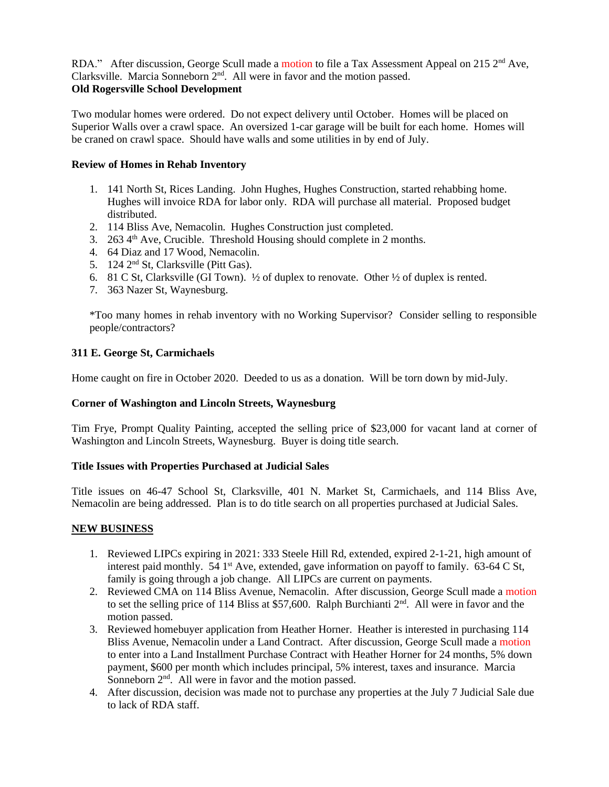RDA." After discussion, George Scull made a motion to file a Tax Assessment Appeal on 215  $2<sup>nd</sup>$  Ave, Clarksville. Marcia Sonneborn 2nd. All were in favor and the motion passed. **Old Rogersville School Development**

Two modular homes were ordered. Do not expect delivery until October. Homes will be placed on Superior Walls over a crawl space. An oversized 1-car garage will be built for each home. Homes will be craned on crawl space. Should have walls and some utilities in by end of July.

### **Review of Homes in Rehab Inventory**

- 1. 141 North St, Rices Landing. John Hughes, Hughes Construction, started rehabbing home. Hughes will invoice RDA for labor only. RDA will purchase all material. Proposed budget distributed.
- 2. 114 Bliss Ave, Nemacolin. Hughes Construction just completed.
- 3. 263 4<sup>th</sup> Ave, Crucible. Threshold Housing should complete in 2 months.
- 4. 64 Diaz and 17 Wood, Nemacolin.
- 5. 124 2nd St, Clarksville (Pitt Gas).
- 6. 81 C St, Clarksville (GI Town).  $\frac{1}{2}$  of duplex to renovate. Other  $\frac{1}{2}$  of duplex is rented.
- 7. 363 Nazer St, Waynesburg.

\*Too many homes in rehab inventory with no Working Supervisor? Consider selling to responsible people/contractors?

#### **311 E. George St, Carmichaels**

Home caught on fire in October 2020. Deeded to us as a donation. Will be torn down by mid-July.

#### **Corner of Washington and Lincoln Streets, Waynesburg**

Tim Frye, Prompt Quality Painting, accepted the selling price of \$23,000 for vacant land at corner of Washington and Lincoln Streets, Waynesburg. Buyer is doing title search.

#### **Title Issues with Properties Purchased at Judicial Sales**

Title issues on 46-47 School St, Clarksville, 401 N. Market St, Carmichaels, and 114 Bliss Ave, Nemacolin are being addressed. Plan is to do title search on all properties purchased at Judicial Sales.

#### **NEW BUSINESS**

- 1. Reviewed LIPCs expiring in 2021: 333 Steele Hill Rd, extended, expired 2-1-21, high amount of interest paid monthly. 54 1<sup>st</sup> Ave, extended, gave information on payoff to family. 63-64 C St, family is going through a job change. All LIPCs are current on payments.
- 2. Reviewed CMA on 114 Bliss Avenue, Nemacolin. After discussion, George Scull made a motion to set the selling price of 114 Bliss at \$57,600. Ralph Burchianti  $2<sup>nd</sup>$ . All were in favor and the motion passed.
- 3. Reviewed homebuyer application from Heather Horner. Heather is interested in purchasing 114 Bliss Avenue, Nemacolin under a Land Contract. After discussion, George Scull made a motion to enter into a Land Installment Purchase Contract with Heather Horner for 24 months, 5% down payment, \$600 per month which includes principal, 5% interest, taxes and insurance. Marcia Sonneborn  $2<sup>nd</sup>$ . All were in favor and the motion passed.
- 4. After discussion, decision was made not to purchase any properties at the July 7 Judicial Sale due to lack of RDA staff.